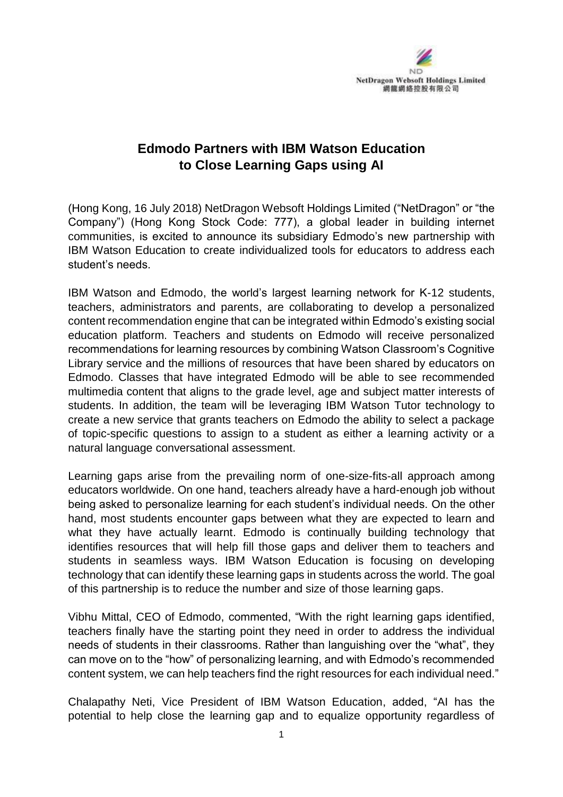

## **Edmodo Partners with IBM Watson Education to Close Learning Gaps using AI**

(Hong Kong, 16 July 2018) NetDragon Websoft Holdings Limited ("NetDragon" or "the Company") (Hong Kong Stock Code: 777), a global leader in building internet communities, is excited to announce its subsidiary Edmodo's new partnership with IBM Watson Education to create individualized tools for educators to address each student's needs.

IBM Watson and Edmodo, the world's largest learning network for K-12 students, teachers, administrators and parents, are collaborating to develop a personalized content recommendation engine that can be integrated within Edmodo's existing social education platform. Teachers and students on Edmodo will receive personalized recommendations for learning resources by combining Watson Classroom's Cognitive Library service and the millions of resources that have been shared by educators on Edmodo. Classes that have integrated Edmodo will be able to see recommended multimedia content that aligns to the grade level, age and subject matter interests of students. In addition, the team will be leveraging IBM Watson Tutor technology to create a new service that grants teachers on Edmodo the ability to select a package of topic-specific questions to assign to a student as either a learning activity or a natural language conversational assessment.

Learning gaps arise from the prevailing norm of one-size-fits-all approach among educators worldwide. On one hand, teachers already have a hard-enough job without being asked to personalize learning for each student's individual needs. On the other hand, most students encounter gaps between what they are expected to learn and what they have actually learnt. Edmodo is continually building technology that identifies resources that will help fill those gaps and deliver them to teachers and students in seamless ways. IBM Watson Education is focusing on developing technology that can identify these learning gaps in students across the world. The goal of this partnership is to reduce the number and size of those learning gaps.

Vibhu Mittal, CEO of Edmodo, commented, "With the right learning gaps identified, teachers finally have the starting point they need in order to address the individual needs of students in their classrooms. Rather than languishing over the "what", they can move on to the "how" of personalizing learning, and with Edmodo's recommended content system, we can help teachers find the right resources for each individual need."

Chalapathy Neti, Vice President of IBM Watson Education, added, "AI has the potential to help close the learning gap and to equalize opportunity regardless of